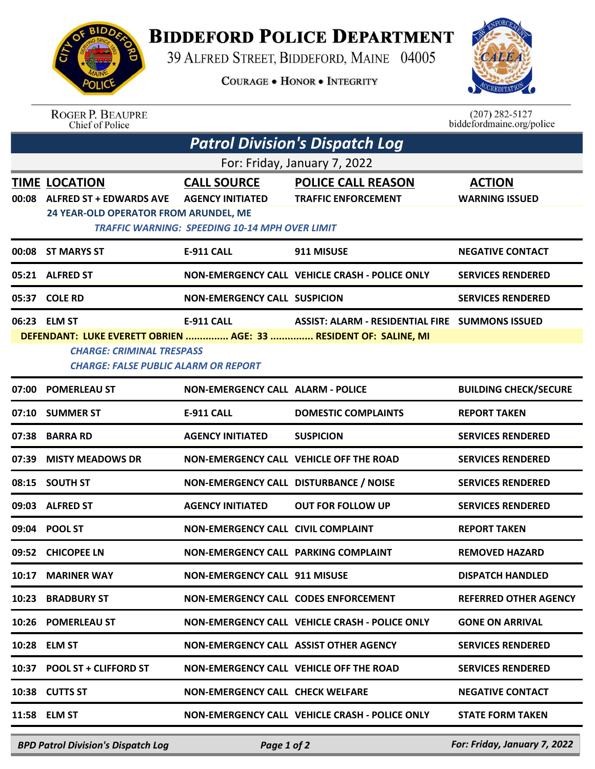

## **BIDDEFORD POLICE DEPARTMENT**

39 ALFRED STREET, BIDDEFORD, MAINE 04005

**COURAGE . HONOR . INTEGRITY** 



ROGER P. BEAUPRE<br>Chief of Police

 $(207)$  282-5127<br>biddefordmaine.org/police

| <b>Patrol Division's Dispatch Log</b> |                                                                                                                                                                                                                                             |                                                                                                        |                                                         |                                        |  |  |  |  |
|---------------------------------------|---------------------------------------------------------------------------------------------------------------------------------------------------------------------------------------------------------------------------------------------|--------------------------------------------------------------------------------------------------------|---------------------------------------------------------|----------------------------------------|--|--|--|--|
| For: Friday, January 7, 2022          |                                                                                                                                                                                                                                             |                                                                                                        |                                                         |                                        |  |  |  |  |
| 00:08                                 | <b>TIME LOCATION</b><br><b>ALFRED ST + EDWARDS AVE</b><br>24 YEAR-OLD OPERATOR FROM ARUNDEL, ME                                                                                                                                             | <b>CALL SOURCE</b><br><b>AGENCY INITIATED</b><br><b>TRAFFIC WARNING: SPEEDING 10-14 MPH OVER LIMIT</b> | <b>POLICE CALL REASON</b><br><b>TRAFFIC ENFORCEMENT</b> | <b>ACTION</b><br><b>WARNING ISSUED</b> |  |  |  |  |
|                                       | 00:08 ST MARYS ST                                                                                                                                                                                                                           | <b>E-911 CALL</b>                                                                                      | 911 MISUSE                                              | <b>NEGATIVE CONTACT</b>                |  |  |  |  |
|                                       | 05:21 ALFRED ST                                                                                                                                                                                                                             |                                                                                                        | NON-EMERGENCY CALL VEHICLE CRASH - POLICE ONLY          | <b>SERVICES RENDERED</b>               |  |  |  |  |
|                                       | 05:37 COLE RD                                                                                                                                                                                                                               | <b>NON-EMERGENCY CALL SUSPICION</b>                                                                    |                                                         | <b>SERVICES RENDERED</b>               |  |  |  |  |
|                                       | 06:23 ELM ST<br><b>E-911 CALL</b><br>ASSIST: ALARM - RESIDENTIAL FIRE SUMMONS ISSUED<br>DEFENDANT: LUKE EVERETT OBRIEN  AGE: 33  RESIDENT OF: SALINE, MI<br><b>CHARGE: CRIMINAL TRESPASS</b><br><b>CHARGE: FALSE PUBLIC ALARM OR REPORT</b> |                                                                                                        |                                                         |                                        |  |  |  |  |
|                                       | 07:00 POMERLEAU ST                                                                                                                                                                                                                          | <b>NON-EMERGENCY CALL ALARM - POLICE</b>                                                               |                                                         | <b>BUILDING CHECK/SECURE</b>           |  |  |  |  |
|                                       | 07:10 SUMMER ST                                                                                                                                                                                                                             | <b>E-911 CALL</b>                                                                                      | <b>DOMESTIC COMPLAINTS</b>                              | <b>REPORT TAKEN</b>                    |  |  |  |  |
|                                       | 07:38 BARRA RD                                                                                                                                                                                                                              | <b>AGENCY INITIATED</b>                                                                                | <b>SUSPICION</b>                                        | <b>SERVICES RENDERED</b>               |  |  |  |  |
| 07:39                                 | <b>MISTY MEADOWS DR</b>                                                                                                                                                                                                                     |                                                                                                        | <b>NON-EMERGENCY CALL VEHICLE OFF THE ROAD</b>          | <b>SERVICES RENDERED</b>               |  |  |  |  |
| 08:15                                 | <b>SOUTH ST</b>                                                                                                                                                                                                                             | NON-EMERGENCY CALL DISTURBANCE / NOISE                                                                 |                                                         | <b>SERVICES RENDERED</b>               |  |  |  |  |
| 09:03                                 | <b>ALFRED ST</b>                                                                                                                                                                                                                            | <b>AGENCY INITIATED</b>                                                                                | <b>OUT FOR FOLLOW UP</b>                                | <b>SERVICES RENDERED</b>               |  |  |  |  |
|                                       | 09:04 POOL ST                                                                                                                                                                                                                               | <b>NON-EMERGENCY CALL CIVIL COMPLAINT</b>                                                              |                                                         | <b>REPORT TAKEN</b>                    |  |  |  |  |
| 09:52                                 | <b>CHICOPEE LN</b>                                                                                                                                                                                                                          | NON-EMERGENCY CALL PARKING COMPLAINT                                                                   |                                                         | <b>REMOVED HAZARD</b>                  |  |  |  |  |
|                                       | 10:17 MARINER WAY                                                                                                                                                                                                                           | <b>NON-EMERGENCY CALL 911 MISUSE</b>                                                                   |                                                         | <b>DISPATCH HANDLED</b>                |  |  |  |  |
|                                       | 10:23 BRADBURY ST                                                                                                                                                                                                                           | NON-EMERGENCY CALL CODES ENFORCEMENT                                                                   |                                                         | <b>REFERRED OTHER AGENCY</b>           |  |  |  |  |
|                                       | 10:26 POMERLEAU ST                                                                                                                                                                                                                          |                                                                                                        | NON-EMERGENCY CALL VEHICLE CRASH - POLICE ONLY          | <b>GONE ON ARRIVAL</b>                 |  |  |  |  |
|                                       | 10:28 ELM ST                                                                                                                                                                                                                                |                                                                                                        | NON-EMERGENCY CALL ASSIST OTHER AGENCY                  | <b>SERVICES RENDERED</b>               |  |  |  |  |
|                                       | 10:37 POOL ST + CLIFFORD ST                                                                                                                                                                                                                 |                                                                                                        | NON-EMERGENCY CALL VEHICLE OFF THE ROAD                 | <b>SERVICES RENDERED</b>               |  |  |  |  |
|                                       | 10:38 CUTTS ST                                                                                                                                                                                                                              | <b>NON-EMERGENCY CALL CHECK WELFARE</b>                                                                |                                                         | <b>NEGATIVE CONTACT</b>                |  |  |  |  |
|                                       | 11:58 ELM ST                                                                                                                                                                                                                                |                                                                                                        | <b>NON-EMERGENCY CALL VEHICLE CRASH - POLICE ONLY</b>   | <b>STATE FORM TAKEN</b>                |  |  |  |  |
|                                       |                                                                                                                                                                                                                                             |                                                                                                        |                                                         |                                        |  |  |  |  |

*BPD Patrol Division's Dispatch Log Page 1 of 2 For: Friday, January 7, 2022*